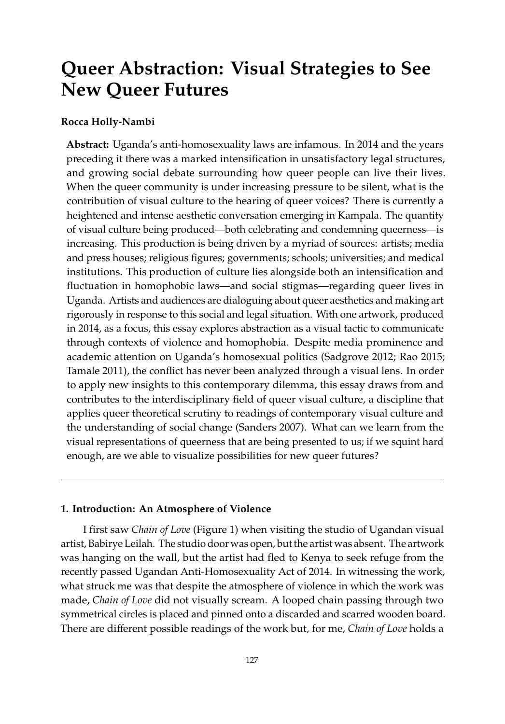# **Queer Abstraction: Visual Strategies to See New Queer Futures**

## **Rocca Holly-Nambi**

**Abstract:** Uganda's anti-homosexuality laws are infamous. In 2014 and the years preceding it there was a marked intensification in unsatisfactory legal structures, and growing social debate surrounding how queer people can live their lives. When the queer community is under increasing pressure to be silent, what is the contribution of visual culture to the hearing of queer voices? There is currently a heightened and intense aesthetic conversation emerging in Kampala. The quantity of visual culture being produced—both celebrating and condemning queerness—is increasing. This production is being driven by a myriad of sources: artists; media and press houses; religious figures; governments; schools; universities; and medical institutions. This production of culture lies alongside both an intensification and fluctuation in homophobic laws—and social stigmas—regarding queer lives in Uganda. Artists and audiences are dialoguing about queer aesthetics and making art rigorously in response to this social and legal situation. With one artwork, produced in 2014, as a focus, this essay explores abstraction as a visual tactic to communicate through contexts of violence and homophobia. Despite media prominence and academic attention on Uganda's homosexual politics (Sadgrove 2012; Rao 2015; Tamale 2011), the conflict has never been analyzed through a visual lens. In order to apply new insights to this contemporary dilemma, this essay draws from and contributes to the interdisciplinary field of queer visual culture, a discipline that applies queer theoretical scrutiny to readings of contemporary visual culture and the understanding of social change (Sanders 2007). What can we learn from the visual representations of queerness that are being presented to us; if we squint hard enough, are we able to visualize possibilities for new queer futures?

## **1. Introduction: An Atmosphere of Violence**

I first saw *Chain of Love* (Figure [1\)](#page-1-0) when visiting the studio of Ugandan visual artist, Babirye Leilah. The studio door was open, but the artist was absent. The artwork was hanging on the wall, but the artist had fled to Kenya to seek refuge from the recently passed Ugandan Anti-Homosexuality Act of 2014. In witnessing the work, what struck me was that despite the atmosphere of violence in which the work was made, *Chain of Love* did not visually scream. A looped chain passing through two symmetrical circles is placed and pinned onto a discarded and scarred wooden board. There are different possible readings of the work but, for me, *Chain of Love* holds a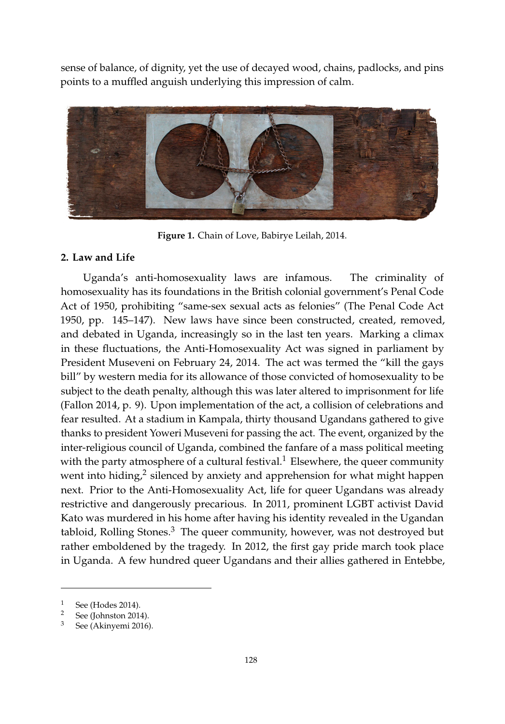sense of balance, of dignity, yet the use of decayed wood, chains, padlocks, and pins points to a muffled anguish underlying this impression of calm. points to a muffled anguish underlying this impression of calm.

<span id="page-1-0"></span>

**Figure 1.** Chain of Love, Babirye Leilah, 2014. **Figure 1.** Chain of Love, Babirye Leilah, 2014.

## *1.1. Law and Life*  **2. Law and Life**

Uganda's anti-homosexuality laws are infamous. The criminality of homosexuality has its foundations in the British colonial government's Penal Code Act of 1950, prohibiting "same-sex sexual acts as felonies" [\(The Penal Code Act](#page-21-0) [1950,](#page-21-0) pp. 145–147). New laws have since been constructed, created, removed, a climax in these fluctuations, the Anti-Homosexuality Act was signed in parliament by President and debated in Uganda, increasingly so in the last ten years. Marking a climax in these fluctuations, the Anti-Homosexuality Act was signed in parliament by President Museveni on February 24, 2014. The act was termed the "kill the gays bill" by western media for its allowance of those convicted of homosexuality to be subject to the death penalty, although this was later altered to imprisonment for life [\(Fallon](#page-18-0) [2014,](#page-18-0) p. 9). Upon implementation of the act, a collision of celebrations and  $\frac{1}{\sqrt{1 + \frac{1}{\sqrt{1 + \frac{1}{\sqrt{1 + \frac{1}{\sqrt{1 + \frac{1}{\sqrt{1 + \frac{1}{\sqrt{1 + \frac{1}{\sqrt{1 + \frac{1}{\sqrt{1 + \frac{1}{\sqrt{1 + \frac{1}{\sqrt{1 + \frac{1}{\sqrt{1 + \frac{1}{\sqrt{1 + \frac{1}{\sqrt{1 + \frac{1}{\sqrt{1 + \frac{1}{\sqrt{1 + \frac{1}{\sqrt{1 + \frac{1}{\sqrt{1 + \frac{1}{\sqrt{1 + \frac{1}{\sqrt{1 + \frac{1}{\sqrt{1 + \frac{1}{\sqrt{1 + \frac{1}{\sqrt{1 +$ fear resulted. At a stadium in Kampala, thirty thousand Ugandans gathered to give thanks to president Yoweri Museveni for passing the act. The event, organized by the inter-religious council of Uganda, combined the fanfare of a mass political meeting with the party atmosphere of a cultural festival.<sup>1</sup> Elsewhere, the queer community next. Prior to the Anti-Homosexuality Act, life for queer Ugandans was already restrictive and dangerously precarious. In 2011, prominent LGBT activist David Kato was murdered in his home after having his identity revealed in the Ugandan went into hiding, $^2$  silenced by anxiety and apprehension for what might happen tabloid, Rolling Stones. $3$  The queer community, however, was not destroyed but rather emboldened by the tragedy. In 2012, the first gay pride march took place in Uganda. A few hundred queer Ugandans and their allies gathered in Entebbe,

 $\frac{1}{2}$  See [\(Hodes](#page-18-1) [2014\)](#page-18-1).

 $\frac{2}{3}$  See [\(Johnston](#page-19-0) [2014\)](#page-19-0).

See [\(Akinyemi](#page-17-0) [2016\)](#page-17-0).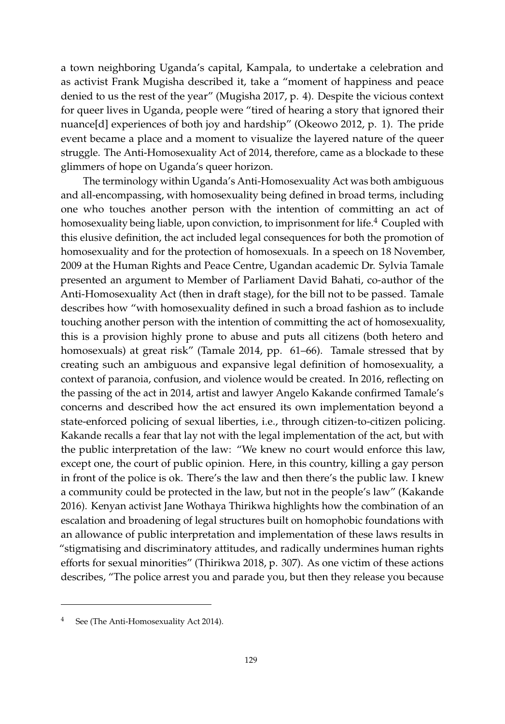a town neighboring Uganda's capital, Kampala, to undertake a celebration and as activist Frank Mugisha described it, take a "moment of happiness and peace denied to us the rest of the year" [\(Mugisha](#page-20-0) [2017,](#page-20-0) p. 4). Despite the vicious context for queer lives in Uganda, people were "tired of hearing a story that ignored their nuance[d] experiences of both joy and hardship" [\(Okeowo](#page-20-1) [2012,](#page-20-1) p. 1). The pride event became a place and a moment to visualize the layered nature of the queer struggle. The Anti-Homosexuality Act of 2014, therefore, came as a blockade to these glimmers of hope on Uganda's queer horizon.

The terminology within Uganda's Anti-Homosexuality Act was both ambiguous and all-encompassing, with homosexuality being defined in broad terms, including one who touches another person with the intention of committing an act of homosexuality being liable, upon conviction, to imprisonment for life.<sup>4</sup> Coupled with this elusive definition, the act included legal consequences for both the promotion of homosexuality and for the protection of homosexuals. In a speech on 18 November, 2009 at the Human Rights and Peace Centre, Ugandan academic Dr. Sylvia Tamale presented an argument to Member of Parliament David Bahati, co-author of the Anti-Homosexuality Act (then in draft stage), for the bill not to be passed. Tamale describes how "with homosexuality defined in such a broad fashion as to include touching another person with the intention of committing the act of homosexuality, this is a provision highly prone to abuse and puts all citizens (both hetero and homosexuals) at great risk" [\(Tamale](#page-21-1) [2014,](#page-21-1) pp. 61–66). Tamale stressed that by creating such an ambiguous and expansive legal definition of homosexuality, a context of paranoia, confusion, and violence would be created. In 2016, reflecting on the passing of the act in 2014, artist and lawyer Angelo Kakande confirmed Tamale's concerns and described how the act ensured its own implementation beyond a state-enforced policing of sexual liberties, i.e., through citizen-to-citizen policing. Kakande recalls a fear that lay not with the legal implementation of the act, but with the public interpretation of the law: "We knew no court would enforce this law, except one, the court of public opinion. Here, in this country, killing a gay person in front of the police is ok. There's the law and then there's the public law. I knew a community could be protected in the law, but not in the people's law" [\(Kakande](#page-19-1) [2016\)](#page-19-1). Kenyan activist Jane Wothaya Thirikwa highlights how the combination of an escalation and broadening of legal structures built on homophobic foundations with an allowance of public interpretation and implementation of these laws results in "stigmatising and discriminatory attitudes, and radically undermines human rights efforts for sexual minorities" [\(Thirikwa](#page-21-2) [2018,](#page-21-2) p. 307). As one victim of these actions describes, "The police arrest you and parade you, but then they release you because

See [\(The Anti-Homosexuality Act](#page-21-3) [2014\)](#page-21-3).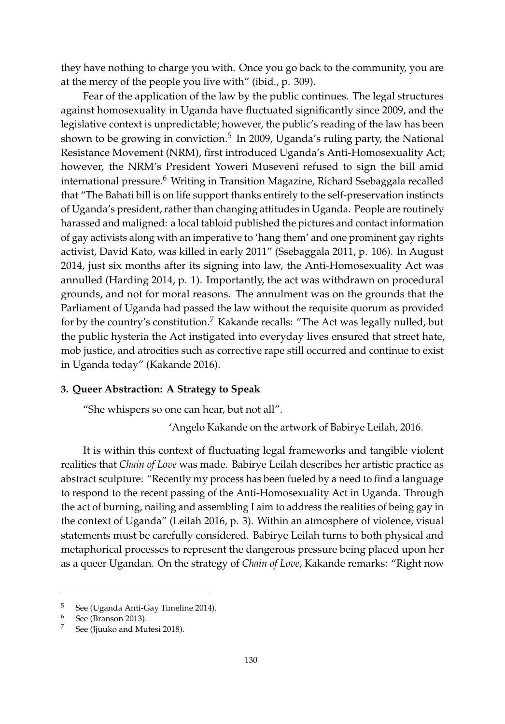they have nothing to charge you with. Once you go back to the community, you are at the mercy of the people you live with" (ibid., p. 309).

Fear of the application of the law by the public continues. The legal structures against homosexuality in Uganda have fluctuated significantly since 2009, and the legislative context is unpredictable; however, the public's reading of the law has been shown to be growing in conviction.<sup>5</sup> In 2009, Uganda's ruling party, the National Resistance Movement (NRM), first introduced Uganda's Anti-Homosexuality Act; however, the NRM's President Yoweri Museveni refused to sign the bill amid international pressure.<sup>6</sup> Writing in Transition Magazine, Richard Ssebaggala recalled that "The Bahati bill is on life support thanks entirely to the self-preservation instincts of Uganda's president, rather than changing attitudes in Uganda. People are routinely harassed and maligned: a local tabloid published the pictures and contact information of gay activists along with an imperative to 'hang them' and one prominent gay rights activist, David Kato, was killed in early 2011" [\(Ssebaggala](#page-21-4) [2011,](#page-21-4) p. 106). In August 2014, just six months after its signing into law, the Anti-Homosexuality Act was annulled [\(Harding](#page-18-2) [2014,](#page-18-2) p. 1). Importantly, the act was withdrawn on procedural grounds, and not for moral reasons. The annulment was on the grounds that the Parliament of Uganda had passed the law without the requisite quorum as provided for by the country's constitution.<sup>7</sup> Kakande recalls: "The Act was legally nulled, but the public hysteria the Act instigated into everyday lives ensured that street hate, mob justice, and atrocities such as corrective rape still occurred and continue to exist in Uganda today" [\(Kakande](#page-19-1) [2016\)](#page-19-1).

## **3. Queer Abstraction: A Strategy to Speak**

"She whispers so one can hear, but not all".

'Angelo Kakande on the artwork of Babirye Leilah, 2016.

It is within this context of fluctuating legal frameworks and tangible violent realities that *Chain of Love* was made. Babirye Leilah describes her artistic practice as abstract sculpture: "Recently my process has been fueled by a need to find a language to respond to the recent passing of the Anti-Homosexuality Act in Uganda. Through the act of burning, nailing and assembling I aim to address the realities of being gay in the context of Uganda" [\(Leilah](#page-19-2) [2016,](#page-19-2) p. 3). Within an atmosphere of violence, visual statements must be carefully considered. Babirye Leilah turns to both physical and metaphorical processes to represent the dangerous pressure being placed upon her as a queer Ugandan. On the strategy of *Chain of Love*, Kakande remarks: "Right now

<sup>&</sup>lt;sup>5</sup> See [\(Uganda Anti-Gay Timeline](#page-21-5) [2014\)](#page-21-5).<br><sup>6</sup> See (Branson 2013).

See [\(Branson](#page-17-1) [2013\)](#page-17-1).

See [\(Jjuuko and Mutesi](#page-19-3) [2018\)](#page-19-3).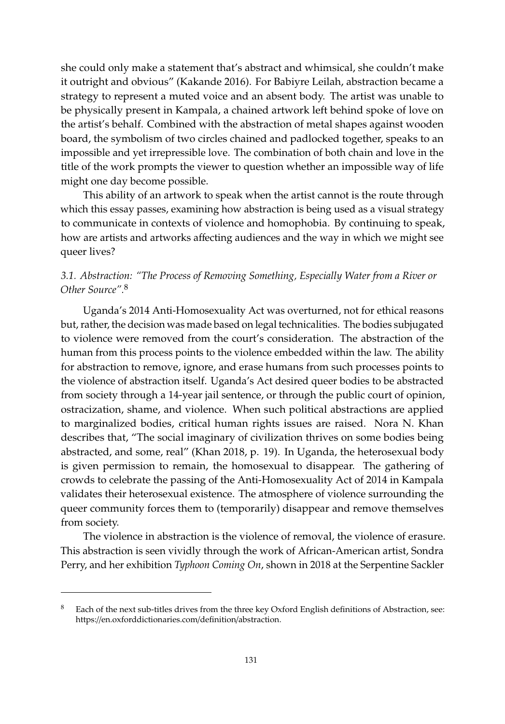she could only make a statement that's abstract and whimsical, she couldn't make it outright and obvious" [\(Kakande](#page-19-1) [2016\)](#page-19-1). For Babiyre Leilah, abstraction became a strategy to represent a muted voice and an absent body. The artist was unable to be physically present in Kampala, a chained artwork left behind spoke of love on the artist's behalf. Combined with the abstraction of metal shapes against wooden board, the symbolism of two circles chained and padlocked together, speaks to an impossible and yet irrepressible love. The combination of both chain and love in the title of the work prompts the viewer to question whether an impossible way of life might one day become possible.

This ability of an artwork to speak when the artist cannot is the route through which this essay passes, examining how abstraction is being used as a visual strategy to communicate in contexts of violence and homophobia. By continuing to speak, how are artists and artworks affecting audiences and the way in which we might see queer lives?

## *3.1. Abstraction: "The Process of Removing Something, Especially Water from a River or Other Source".*<sup>8</sup>

Uganda's 2014 Anti-Homosexuality Act was overturned, not for ethical reasons but, rather, the decision was made based on legal technicalities. The bodies subjugated to violence were removed from the court's consideration. The abstraction of the human from this process points to the violence embedded within the law. The ability for abstraction to remove, ignore, and erase humans from such processes points to the violence of abstraction itself. Uganda's Act desired queer bodies to be abstracted from society through a 14-year jail sentence, or through the public court of opinion, ostracization, shame, and violence. When such political abstractions are applied to marginalized bodies, critical human rights issues are raised. Nora N. Khan describes that, "The social imaginary of civilization thrives on some bodies being abstracted, and some, real" [\(Khan](#page-19-4) [2018,](#page-19-4) p. 19). In Uganda, the heterosexual body is given permission to remain, the homosexual to disappear. The gathering of crowds to celebrate the passing of the Anti-Homosexuality Act of 2014 in Kampala validates their heterosexual existence. The atmosphere of violence surrounding the queer community forces them to (temporarily) disappear and remove themselves from society.

The violence in abstraction is the violence of removal, the violence of erasure. This abstraction is seen vividly through the work of African-American artist, Sondra Perry, and her exhibition *Typhoon Coming On*, shown in 2018 at the Serpentine Sackler

Each of the next sub-titles drives from the three key Oxford English definitions of Abstraction, see: https://en.oxforddictionaries.com/definition/abstraction.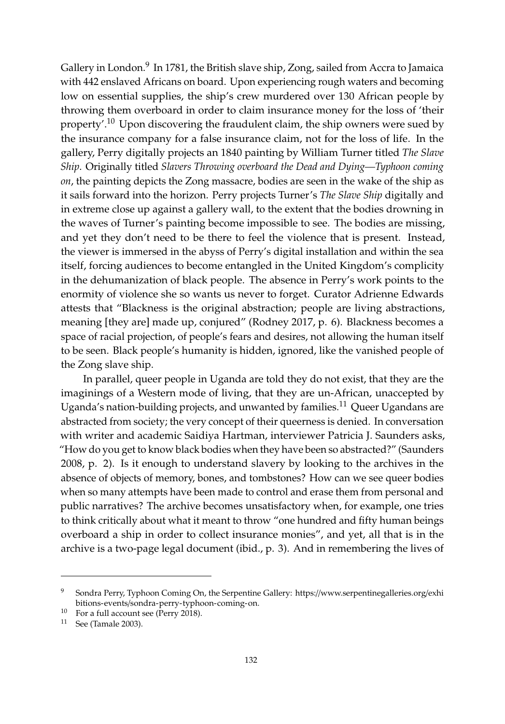Gallery in London.<sup>9</sup> In 1781, the British slave ship, Zong, sailed from Accra to Jamaica with 442 enslaved Africans on board. Upon experiencing rough waters and becoming low on essential supplies, the ship's crew murdered over 130 African people by throwing them overboard in order to claim insurance money for the loss of 'their property'.<sup>10</sup> Upon discovering the fraudulent claim, the ship owners were sued by the insurance company for a false insurance claim, not for the loss of life. In the gallery, Perry digitally projects an 1840 painting by William Turner titled *The Slave Ship*. Originally titled *Slavers Throwing overboard the Dead and Dying—Typhoon coming on*, the painting depicts the Zong massacre, bodies are seen in the wake of the ship as it sails forward into the horizon. Perry projects Turner's *The Slave Ship* digitally and in extreme close up against a gallery wall, to the extent that the bodies drowning in the waves of Turner's painting become impossible to see. The bodies are missing, and yet they don't need to be there to feel the violence that is present. Instead, the viewer is immersed in the abyss of Perry's digital installation and within the sea itself, forcing audiences to become entangled in the United Kingdom's complicity in the dehumanization of black people. The absence in Perry's work points to the enormity of violence she so wants us never to forget. Curator Adrienne Edwards attests that "Blackness is the original abstraction; people are living abstractions, meaning [they are] made up, conjured" [\(Rodney](#page-20-2) [2017,](#page-20-2) p. 6). Blackness becomes a space of racial projection, of people's fears and desires, not allowing the human itself to be seen. Black people's humanity is hidden, ignored, like the vanished people of the Zong slave ship.

In parallel, queer people in Uganda are told they do not exist, that they are the imaginings of a Western mode of living, that they are un-African, unaccepted by Uganda's nation-building projects, and unwanted by families.<sup>11</sup> Queer Ugandans are abstracted from society; the very concept of their queerness is denied. In conversation with writer and academic Saidiya Hartman, interviewer Patricia J. Saunders asks, "How do you get to know black bodies when they have been so abstracted?" [\(Saunders](#page-20-3) [2008,](#page-20-3) p. 2). Is it enough to understand slavery by looking to the archives in the absence of objects of memory, bones, and tombstones? How can we see queer bodies when so many attempts have been made to control and erase them from personal and public narratives? The archive becomes unsatisfactory when, for example, one tries to think critically about what it meant to throw "one hundred and fifty human beings overboard a ship in order to collect insurance monies", and yet, all that is in the archive is a two-page legal document (ibid., p. 3). And in remembering the lives of

<sup>9</sup> Sondra Perry, Typhoon Coming On, the Serpentine Gallery: https://[www.serpentinegalleries.org](https://www.serpentinegalleries.org/exhibitions-events/sondra-perry-typhoon-coming-on)/exhi bitions-events/[sondra-perry-typhoon-coming-on.](https://www.serpentinegalleries.org/exhibitions-events/sondra-perry-typhoon-coming-on)

 $10$  For a full account see [\(Perry](#page-20-4) [2018\)](#page-20-4).

<sup>11</sup> See [\(Tamale](#page-21-6) [2003\)](#page-21-6).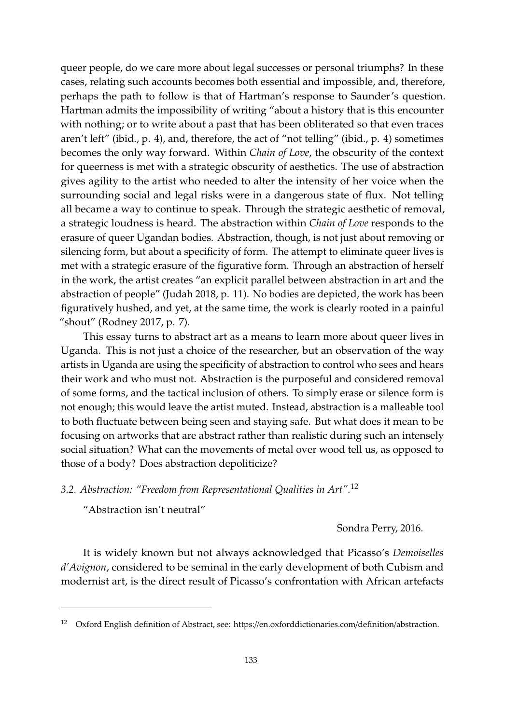queer people, do we care more about legal successes or personal triumphs? In these cases, relating such accounts becomes both essential and impossible, and, therefore, perhaps the path to follow is that of Hartman's response to Saunder's question. Hartman admits the impossibility of writing "about a history that is this encounter with nothing; or to write about a past that has been obliterated so that even traces aren't left" (ibid., p. 4), and, therefore, the act of "not telling" (ibid., p. 4) sometimes becomes the only way forward. Within *Chain of Love*, the obscurity of the context for queerness is met with a strategic obscurity of aesthetics. The use of abstraction gives agility to the artist who needed to alter the intensity of her voice when the surrounding social and legal risks were in a dangerous state of flux. Not telling all became a way to continue to speak. Through the strategic aesthetic of removal, a strategic loudness is heard. The abstraction within *Chain of Love* responds to the erasure of queer Ugandan bodies. Abstraction, though, is not just about removing or silencing form, but about a specificity of form. The attempt to eliminate queer lives is met with a strategic erasure of the figurative form. Through an abstraction of herself in the work, the artist creates "an explicit parallel between abstraction in art and the abstraction of people" [\(Judah](#page-19-5) [2018,](#page-19-5) p. 11). No bodies are depicted, the work has been figuratively hushed, and yet, at the same time, the work is clearly rooted in a painful "shout" [\(Rodney](#page-20-2) [2017,](#page-20-2) p. 7).

This essay turns to abstract art as a means to learn more about queer lives in Uganda. This is not just a choice of the researcher, but an observation of the way artists in Uganda are using the specificity of abstraction to control who sees and hears their work and who must not. Abstraction is the purposeful and considered removal of some forms, and the tactical inclusion of others. To simply erase or silence form is not enough; this would leave the artist muted. Instead, abstraction is a malleable tool to both fluctuate between being seen and staying safe. But what does it mean to be focusing on artworks that are abstract rather than realistic during such an intensely social situation? What can the movements of metal over wood tell us, as opposed to those of a body? Does abstraction depoliticize?

*3.2. Abstraction: "Freedom from Representational Qualities in Art".*<sup>12</sup>

"Abstraction isn't neutral"

Sondra Perry, 2016.

It is widely known but not always acknowledged that Picasso's *Demoiselles d'Avignon*, considered to be seminal in the early development of both Cubism and modernist art, is the direct result of Picasso's confrontation with African artefacts

<sup>12</sup> Oxford English definition of Abstract, see: https://en.oxforddictionaries.com/definition/abstraction.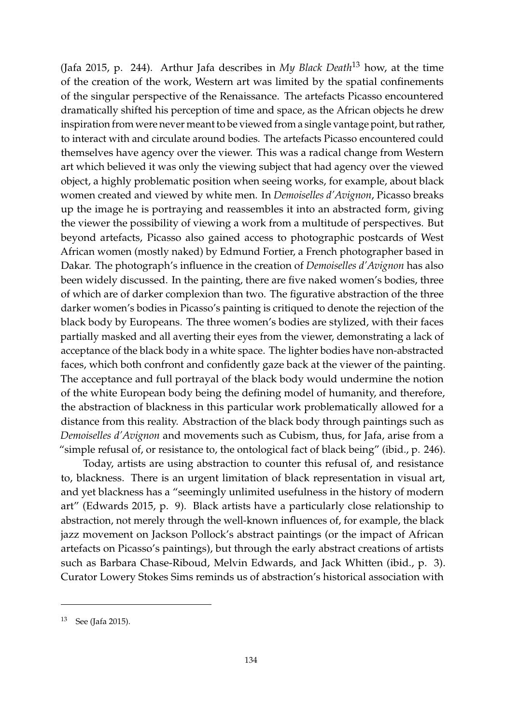[\(Jafa](#page-18-3) [2015,](#page-18-3) p. 244). Arthur Jafa describes in *My Black Death*<sup>13</sup> how, at the time of the creation of the work, Western art was limited by the spatial confinements of the singular perspective of the Renaissance. The artefacts Picasso encountered dramatically shifted his perception of time and space, as the African objects he drew inspiration from were never meant to be viewed from a single vantage point, but rather, to interact with and circulate around bodies. The artefacts Picasso encountered could themselves have agency over the viewer. This was a radical change from Western art which believed it was only the viewing subject that had agency over the viewed object, a highly problematic position when seeing works, for example, about black women created and viewed by white men. In *Demoiselles d'Avignon*, Picasso breaks up the image he is portraying and reassembles it into an abstracted form, giving the viewer the possibility of viewing a work from a multitude of perspectives. But beyond artefacts, Picasso also gained access to photographic postcards of West African women (mostly naked) by Edmund Fortier, a French photographer based in Dakar. The photograph's influence in the creation of *Demoiselles d'Avignon* has also been widely discussed. In the painting, there are five naked women's bodies, three of which are of darker complexion than two. The figurative abstraction of the three darker women's bodies in Picasso's painting is critiqued to denote the rejection of the black body by Europeans. The three women's bodies are stylized, with their faces partially masked and all averting their eyes from the viewer, demonstrating a lack of acceptance of the black body in a white space. The lighter bodies have non-abstracted faces, which both confront and confidently gaze back at the viewer of the painting. The acceptance and full portrayal of the black body would undermine the notion of the white European body being the defining model of humanity, and therefore, the abstraction of blackness in this particular work problematically allowed for a distance from this reality. Abstraction of the black body through paintings such as *Demoiselles d'Avignon* and movements such as Cubism, thus, for Jafa, arise from a "simple refusal of, or resistance to, the ontological fact of black being" (ibid., p. 246).

Today, artists are using abstraction to counter this refusal of, and resistance to, blackness. There is an urgent limitation of black representation in visual art, and yet blackness has a "seemingly unlimited usefulness in the history of modern art" [\(Edwards](#page-18-4) [2015,](#page-18-4) p. 9). Black artists have a particularly close relationship to abstraction, not merely through the well-known influences of, for example, the black jazz movement on Jackson Pollock's abstract paintings (or the impact of African artefacts on Picasso's paintings), but through the early abstract creations of artists such as Barbara Chase-Riboud, Melvin Edwards, and Jack Whitten (ibid., p. 3). Curator Lowery Stokes Sims reminds us of abstraction's historical association with

<sup>13</sup> See [\(Jafa](#page-18-3) [2015\)](#page-18-3).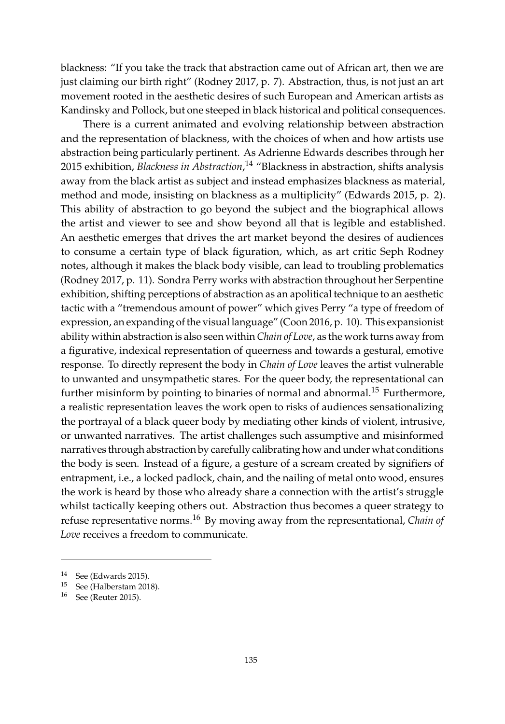blackness: "If you take the track that abstraction came out of African art, then we are just claiming our birth right" [\(Rodney](#page-20-2) [2017,](#page-20-2) p. 7). Abstraction, thus, is not just an art movement rooted in the aesthetic desires of such European and American artists as Kandinsky and Pollock, but one steeped in black historical and political consequences.

There is a current animated and evolving relationship between abstraction and the representation of blackness, with the choices of when and how artists use abstraction being particularly pertinent. As Adrienne Edwards describes through her 2015 exhibition, *Blackness in Abstraction*, <sup>14</sup> "Blackness in abstraction, shifts analysis away from the black artist as subject and instead emphasizes blackness as material, method and mode, insisting on blackness as a multiplicity" [\(Edwards](#page-18-4) [2015,](#page-18-4) p. 2). This ability of abstraction to go beyond the subject and the biographical allows the artist and viewer to see and show beyond all that is legible and established. An aesthetic emerges that drives the art market beyond the desires of audiences to consume a certain type of black figuration, which, as art critic Seph Rodney notes, although it makes the black body visible, can lead to troubling problematics [\(Rodney](#page-20-2) [2017,](#page-20-2) p. 11). Sondra Perry works with abstraction throughout her Serpentine exhibition, shifting perceptions of abstraction as an apolitical technique to an aesthetic tactic with a "tremendous amount of power" which gives Perry "a type of freedom of expression, an expanding of the visual language" [\(Coon](#page-17-2) [2016,](#page-17-2) p. 10). This expansionist ability within abstraction is also seen within *Chain of Love*, as the work turns away from a figurative, indexical representation of queerness and towards a gestural, emotive response. To directly represent the body in *Chain of Love* leaves the artist vulnerable to unwanted and unsympathetic stares. For the queer body, the representational can further misinform by pointing to binaries of normal and abnormal.<sup>15</sup> Furthermore, a realistic representation leaves the work open to risks of audiences sensationalizing the portrayal of a black queer body by mediating other kinds of violent, intrusive, or unwanted narratives. The artist challenges such assumptive and misinformed narratives through abstraction by carefully calibrating how and under what conditions the body is seen. Instead of a figure, a gesture of a scream created by signifiers of entrapment, i.e., a locked padlock, chain, and the nailing of metal onto wood, ensures the work is heard by those who already share a connection with the artist's struggle whilst tactically keeping others out. Abstraction thus becomes a queer strategy to refuse representative norms.<sup>16</sup> By moving away from the representational, *Chain of Love* receives a freedom to communicate.

<sup>14</sup> See [\(Edwards](#page-18-4) [2015\)](#page-18-4).

<sup>15</sup> See [\(Halberstam](#page-18-5) [2018\)](#page-18-5).

<sup>16</sup> See [\(Reuter](#page-20-5) [2015\)](#page-20-5).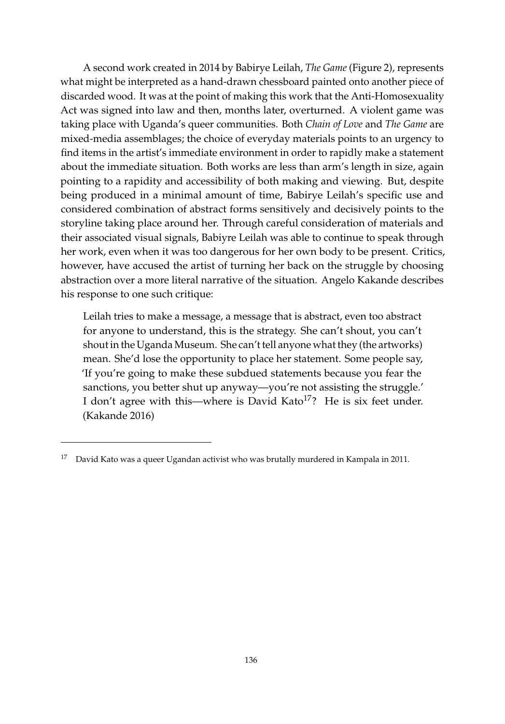A second work created in 2014 by Babirye Leilah, *The Game* (Figure [2\)](#page-10-0), represents what might be interpreted as a hand-drawn chessboard painted onto another piece of discarded wood. It was at the point of making this work that the Anti-Homosexuality Act was signed into law and then, months later, overturned. A violent game was taking place with Uganda's queer communities. Both *Chain of Love* and *The Game* are mixed-media assemblages; the choice of everyday materials points to an urgency to find items in the artist's immediate environment in order to rapidly make a statement about the immediate situation. Both works are less than arm's length in size, again pointing to a rapidity and accessibility of both making and viewing. But, despite being produced in a minimal amount of time, Babirye Leilah's specific use and considered combination of abstract forms sensitively and decisively points to the storyline taking place around her. Through careful consideration of materials and their associated visual signals, Babiyre Leilah was able to continue to speak through her work, even when it was too dangerous for her own body to be present. Critics, however, have accused the artist of turning her back on the struggle by choosing abstraction over a more literal narrative of the situation. Angelo Kakande describes his response to one such critique:

Leilah tries to make a message, a message that is abstract, even too abstract for anyone to understand, this is the strategy. She can't shout, you can't shout in the Uganda Museum. She can't tell anyone what they (the artworks) mean. She'd lose the opportunity to place her statement. Some people say, 'If you're going to make these subdued statements because you fear the sanctions, you better shut up anyway—you're not assisting the struggle.' I don't agree with this—where is David Kato<sup>17</sup>? He is six feet under. [\(Kakande](#page-19-1) [2016\)](#page-19-1)

 $17$  David Kato was a queer Ugandan activist who was brutally murdered in Kampala in 2011.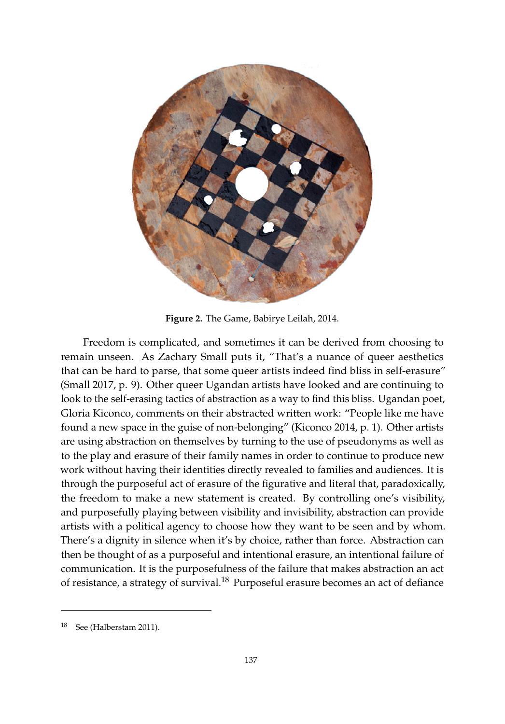<span id="page-10-0"></span>

**Figure 2.** The Game, Babirye Leilah, 2014.

remain unseen. As Zachary Small puts it, "That's a nuance of queer aesthetics that can be hard to parse, that some queer artists indeed find bliss in self-erasure" [\(Small](#page-21-7) [2017,](#page-21-7) p. 9). Other queer Ugandan artists have looked and are continuing to look to the self-erasing tactics of abstraction as a way to find this bliss. Ugandan poet, Gloria Kiconco, comments on their abstracted written work: "People like me have found a new space in the guise of non-belonging" [\(Kiconco](#page-19-6) [2014,](#page-19-6) p. 1). Other artists are using abstraction on themselves by turning to the use of pseudonyms as well as to the play and erasure of their family names in order to continue to produce new work without having their identities directly revealed to families and audiences. It is through the purposeful act of erasure of the figurative and literal that, paradoxically, the freedom to make a new statement is created. By controlling one's visibility, and purposefully playing between visibility and invisibility, abstraction can provide artists with a political agency to choose how they want to be seen and by whom. There's a dignity in silence when it's by choice, rather than force. Abstraction can then be thought of as a purposeful and intentional erasure, an intentional failure of communication. It is the purposefulness of the failure that makes abstraction an act of resistance, a strategy of survival.<sup>18</sup> Purposeful erasure becomes an act of defiance Freedom is complicated, and sometimes it can be derived from choosing to

around queer people, the most infamous example perhaps being an article written in 2011 by

 $18$  See (Halberstam 2011).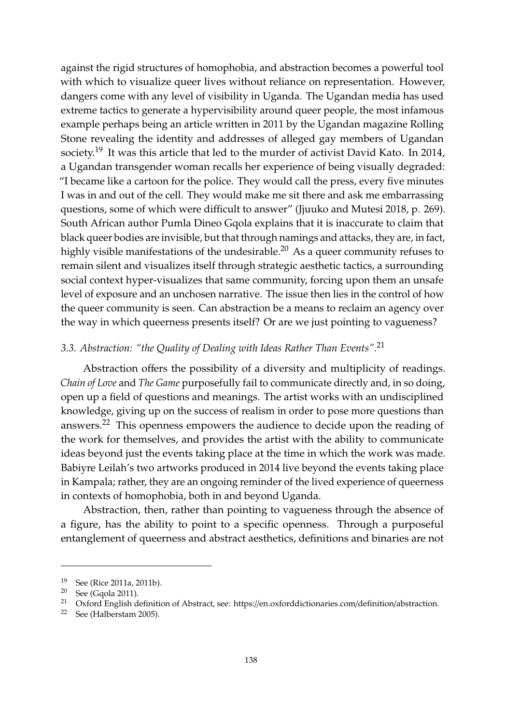against the rigid structures of homophobia, and abstraction becomes a powerful tool with which to visualize queer lives without reliance on representation. However, dangers come with any level of visibility in Uganda. The Ugandan media has used extreme tactics to generate a hypervisibility around queer people, the most infamous example perhaps being an article written in 2011 by the Ugandan magazine Rolling Stone revealing the identity and addresses of alleged gay members of Ugandan society.<sup>19</sup> It was this article that led to the murder of activist David Kato. In 2014, a Ugandan transgender woman recalls her experience of being visually degraded: "I became like a cartoon for the police. They would call the press, every five minutes I was in and out of the cell. They would make me sit there and ask me embarrassing questions, some of which were difficult to answer" [\(Jjuuko and Mutesi](#page-19-3) [2018,](#page-19-3) p. 269). South African author Pumla Dineo Gqola explains that it is inaccurate to claim that black queer bodies are invisible, but that through namings and attacks, they are, in fact, highly visible manifestations of the undesirable.<sup>20</sup> As a queer community refuses to remain silent and visualizes itself through strategic aesthetic tactics, a surrounding social context hyper-visualizes that same community, forcing upon them an unsafe level of exposure and an unchosen narrative. The issue then lies in the control of how the queer community is seen. Can abstraction be a means to reclaim an agency over the way in which queerness presents itself? Or are we just pointing to vagueness?

## *3.3. Abstraction: "the Quality of Dealing with Ideas Rather Than Events".*<sup>21</sup>

Abstraction offers the possibility of a diversity and multiplicity of readings. *Chain of Love* and *The Game* purposefully fail to communicate directly and, in so doing, open up a field of questions and meanings. The artist works with an undisciplined knowledge, giving up on the success of realism in order to pose more questions than answers.<sup>22</sup> This openness empowers the audience to decide upon the reading of the work for themselves, and provides the artist with the ability to communicate ideas beyond just the events taking place at the time in which the work was made. Babiyre Leilah's two artworks produced in 2014 live beyond the events taking place in Kampala; rather, they are an ongoing reminder of the lived experience of queerness in contexts of homophobia, both in and beyond Uganda.

Abstraction, then, rather than pointing to vagueness through the absence of a figure, has the ability to point to a specific openness. Through a purposeful entanglement of queerness and abstract aesthetics, definitions and binaries are not

<sup>19</sup> See [\(Rice](#page-20-6) [2011a,](#page-20-6) [2011b\)](#page-20-7).

<sup>20</sup> See [\(Gqola](#page-18-7) [2011\)](#page-18-7).

<sup>&</sup>lt;sup>21</sup> Oxford English definition of Abstract, see: https://en.oxforddictionaries.com/definition/abstraction.

<sup>22</sup> See [\(Halberstam](#page-18-8) [2005\)](#page-18-8).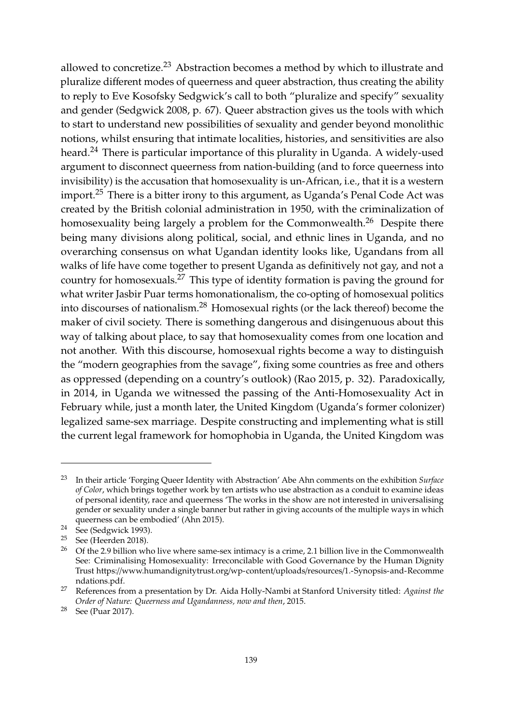allowed to concretize. $^{23}$  Abstraction becomes a method by which to illustrate and pluralize different modes of queerness and queer abstraction, thus creating the ability to reply to Eve Kosofsky Sedgwick's call to both "pluralize and specify" sexuality and gender [\(Sedgwick](#page-20-8) [2008,](#page-20-8) p. 67). Queer abstraction gives us the tools with which to start to understand new possibilities of sexuality and gender beyond monolithic notions, whilst ensuring that intimate localities, histories, and sensitivities are also heard.<sup>24</sup> There is particular importance of this plurality in Uganda. A widely-used argument to disconnect queerness from nation-building (and to force queerness into invisibility) is the accusation that homosexuality is un-African, i.e., that it is a western import.<sup>25</sup> There is a bitter irony to this argument, as Uganda's Penal Code Act was created by the British colonial administration in 1950, with the criminalization of homosexuality being largely a problem for the Commonwealth.<sup>26</sup> Despite there being many divisions along political, social, and ethnic lines in Uganda, and no overarching consensus on what Ugandan identity looks like, Ugandans from all walks of life have come together to present Uganda as definitively not gay, and not a country for homosexuals.<sup>27</sup> This type of identity formation is paving the ground for what writer Jasbir Puar terms homonationalism, the co-opting of homosexual politics into discourses of nationalism.<sup>28</sup> Homosexual rights (or the lack thereof) become the maker of civil society. There is something dangerous and disingenuous about this way of talking about place, to say that homosexuality comes from one location and not another. With this discourse, homosexual rights become a way to distinguish the "modern geographies from the savage", fixing some countries as free and others as oppressed (depending on a country's outlook) [\(Rao](#page-20-9) [2015,](#page-20-9) p. 32). Paradoxically, in 2014, in Uganda we witnessed the passing of the Anti-Homosexuality Act in February while, just a month later, the United Kingdom (Uganda's former colonizer) legalized same-sex marriage. Despite constructing and implementing what is still the current legal framework for homophobia in Uganda, the United Kingdom was

<sup>23</sup> In their article 'Forging Queer Identity with Abstraction' Abe Ahn comments on the exhibition *Surface of Color*, which brings together work by ten artists who use abstraction as a conduit to examine ideas of personal identity, race and queerness 'The works in the show are not interested in universalising gender or sexuality under a single banner but rather in giving accounts of the multiple ways in which queerness can be embodied' [\(Ahn](#page-17-3) [2015\)](#page-17-3).

<sup>24</sup> See [\(Sedgwick](#page-20-10) [1993\)](#page-20-10).

<sup>&</sup>lt;sup>25</sup> See [\(Heerden](#page-18-9) [2018\)](#page-18-9).<br><sup>26</sup> Of the 2.9 billion wh

<sup>26</sup> Of the 2.9 billion who live where same-sex intimacy is a crime, 2.1 billion live in the Commonwealth See: Criminalising Homosexuality: Irreconcilable with Good Governance by the Human Dignity Trust https://[www.humandignitytrust.org](https://www.humandignitytrust.org/wp-content/uploads/resources/1.-Synopsis-and-Recommendations.pdf)/wp-content/uploads/resources/1.-Synopsis-and-Recomme [ndations.pdf.](https://www.humandignitytrust.org/wp-content/uploads/resources/1.-Synopsis-and-Recommendations.pdf)

<sup>27</sup> References from a presentation by Dr. Aida Holly-Nambi at Stanford University titled: *Against the Order of Nature: Queerness and Ugandanness, now and then*, 2015.

<sup>28</sup> See [\(Puar](#page-20-11) [2017\)](#page-20-11).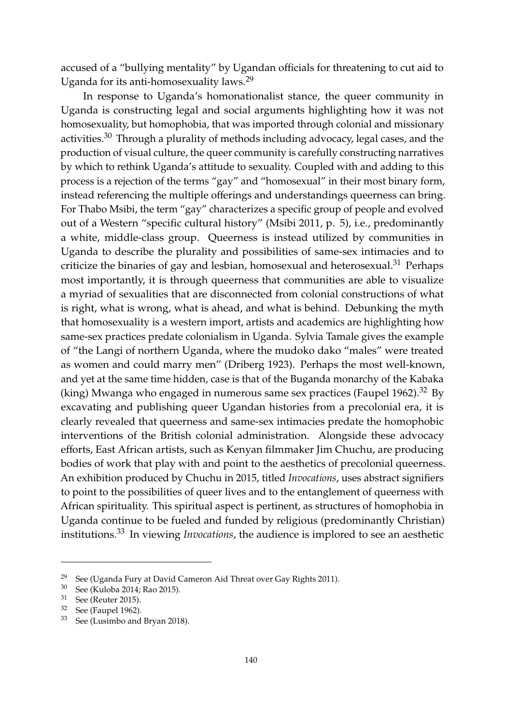accused of a "bullying mentality" by Ugandan officials for threatening to cut aid to Uganda for its anti-homosexuality laws.<sup>29</sup>

In response to Uganda's homonationalist stance, the queer community in Uganda is constructing legal and social arguments highlighting how it was not homosexuality, but homophobia, that was imported through colonial and missionary activities. $30$  Through a plurality of methods including advocacy, legal cases, and the production of visual culture, the queer community is carefully constructing narratives by which to rethink Uganda's attitude to sexuality. Coupled with and adding to this process is a rejection of the terms "gay" and "homosexual" in their most binary form, instead referencing the multiple offerings and understandings queerness can bring. For Thabo Msibi, the term "gay" characterizes a specific group of people and evolved out of a Western "specific cultural history" [\(Msibi](#page-20-12) [2011,](#page-20-12) p. 5), i.e., predominantly a white, middle-class group. Queerness is instead utilized by communities in Uganda to describe the plurality and possibilities of same-sex intimacies and to criticize the binaries of gay and lesbian, homosexual and heterosexual. $31$  Perhaps most importantly, it is through queerness that communities are able to visualize a myriad of sexualities that are disconnected from colonial constructions of what is right, what is wrong, what is ahead, and what is behind. Debunking the myth that homosexuality is a western import, artists and academics are highlighting how same-sex practices predate colonialism in Uganda. Sylvia Tamale gives the example of "the Langi of northern Uganda, where the mudoko dako "males" were treated as women and could marry men" [\(Driberg](#page-18-10) [1923\)](#page-18-10). Perhaps the most well-known, and yet at the same time hidden, case is that of the Buganda monarchy of the Kabaka (king) Mwanga who engaged in numerous same sex practices [\(Faupel](#page-18-11) [1962\)](#page-18-11).<sup>32</sup> By excavating and publishing queer Ugandan histories from a precolonial era, it is clearly revealed that queerness and same-sex intimacies predate the homophobic interventions of the British colonial administration. Alongside these advocacy efforts, East African artists, such as Kenyan filmmaker Jim Chuchu, are producing bodies of work that play with and point to the aesthetics of precolonial queerness. An exhibition produced by Chuchu in 2015, titled *Invocations*, uses abstract signifiers to point to the possibilities of queer lives and to the entanglement of queerness with African spirituality. This spiritual aspect is pertinent, as structures of homophobia in Uganda continue to be fueled and funded by religious (predominantly Christian) institutions.<sup>33</sup> In viewing *Invocations*, the audience is implored to see an aesthetic

<sup>&</sup>lt;sup>29</sup> See [\(Uganda Fury at David Cameron Aid Threat over Gay Rights](#page-21-8) [2011\)](#page-21-8).<br><sup>30</sup> See (Kuloba 2014: Rao 2015)

See [\(Kuloba](#page-19-7) [2014;](#page-19-7) [Rao](#page-20-9) [2015\)](#page-20-9).

<sup>31</sup> See [\(Reuter](#page-20-5) [2015\)](#page-20-5).

<sup>32</sup> See [\(Faupel](#page-18-11) [1962\)](#page-18-11).

<sup>33</sup> See [\(Lusimbo and Bryan](#page-19-8) [2018\)](#page-19-8).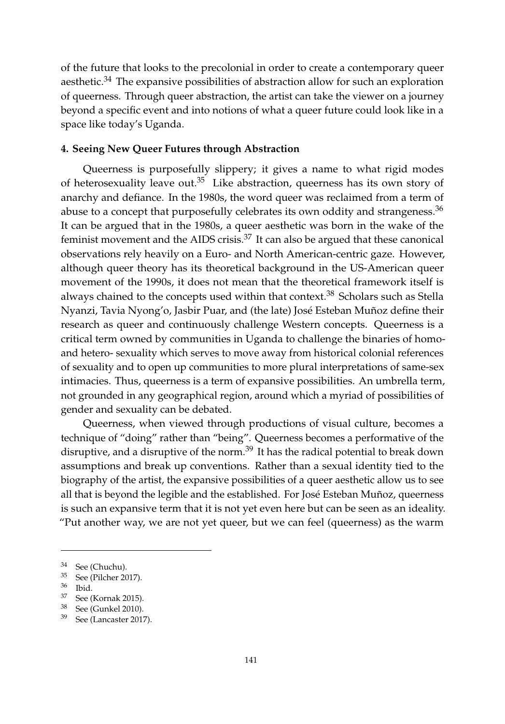of the future that looks to the precolonial in order to create a contemporary queer aesthetic.<sup>34</sup> The expansive possibilities of abstraction allow for such an exploration of queerness. Through queer abstraction, the artist can take the viewer on a journey beyond a specific event and into notions of what a queer future could look like in a space like today's Uganda.

## **4. Seeing New Queer Futures through Abstraction**

Queerness is purposefully slippery; it gives a name to what rigid modes of heterosexuality leave out.<sup>35</sup> Like abstraction, queerness has its own story of anarchy and defiance. In the 1980s, the word queer was reclaimed from a term of abuse to a concept that purposefully celebrates its own oddity and strangeness.<sup>36</sup> It can be argued that in the 1980s, a queer aesthetic was born in the wake of the feminist movement and the AIDS crisis. $37$  It can also be argued that these canonical observations rely heavily on a Euro- and North American-centric gaze. However, although queer theory has its theoretical background in the US-American queer movement of the 1990s, it does not mean that the theoretical framework itself is always chained to the concepts used within that context.<sup>38</sup> Scholars such as Stella Nyanzi, Tavia Nyong'o, Jasbir Puar, and (the late) José Esteban Muñoz define their research as queer and continuously challenge Western concepts. Queerness is a critical term owned by communities in Uganda to challenge the binaries of homoand hetero- sexuality which serves to move away from historical colonial references of sexuality and to open up communities to more plural interpretations of same-sex intimacies. Thus, queerness is a term of expansive possibilities. An umbrella term, not grounded in any geographical region, around which a myriad of possibilities of gender and sexuality can be debated.

Queerness, when viewed through productions of visual culture, becomes a technique of "doing" rather than "being". Queerness becomes a performative of the disruptive, and a disruptive of the norm.<sup>39</sup> It has the radical potential to break down assumptions and break up conventions. Rather than a sexual identity tied to the biography of the artist, the expansive possibilities of a queer aesthetic allow us to see all that is beyond the legible and the established. For José Esteban Muñoz, queerness is such an expansive term that it is not yet even here but can be seen as an ideality. "Put another way, we are not yet queer, but we can feel (queerness) as the warm

<sup>34</sup> See [\(Chuchu\)](#page-17-4).

<sup>35</sup> See [\(Pilcher](#page-20-13) [2017\)](#page-20-13).

 $rac{36}{37}$  Ibid.

See [\(Kornak](#page-19-9) [2015\)](#page-19-9).

<sup>38</sup> See [\(Gunkel](#page-18-12) [2010\)](#page-18-12).

<sup>39</sup> See [\(Lancaster](#page-19-10) [2017\)](#page-19-10).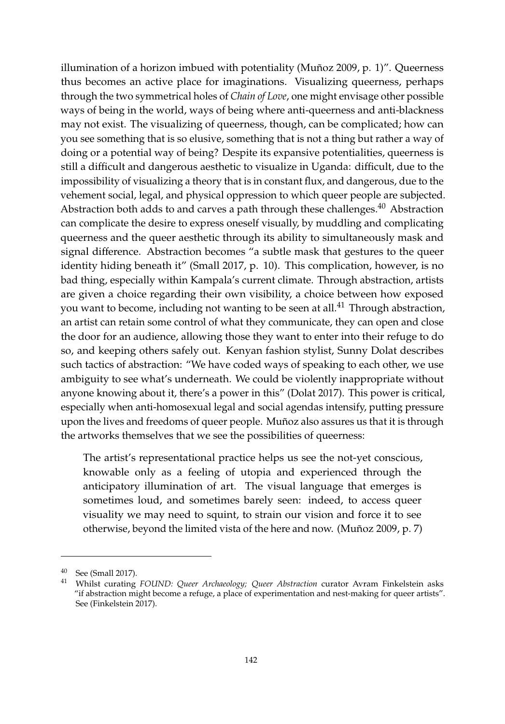illumination of a horizon imbued with potentiality [\(Muñoz](#page-20-14) [2009,](#page-20-14) p. 1)". Queerness thus becomes an active place for imaginations. Visualizing queerness, perhaps through the two symmetrical holes of *Chain of Love*, one might envisage other possible ways of being in the world, ways of being where anti-queerness and anti-blackness may not exist. The visualizing of queerness, though, can be complicated; how can you see something that is so elusive, something that is not a thing but rather a way of doing or a potential way of being? Despite its expansive potentialities, queerness is still a difficult and dangerous aesthetic to visualize in Uganda: difficult, due to the impossibility of visualizing a theory that is in constant flux, and dangerous, due to the vehement social, legal, and physical oppression to which queer people are subjected. Abstraction both adds to and carves a path through these challenges. $^{40}$  Abstraction can complicate the desire to express oneself visually, by muddling and complicating queerness and the queer aesthetic through its ability to simultaneously mask and signal difference. Abstraction becomes "a subtle mask that gestures to the queer identity hiding beneath it" [\(Small](#page-21-7) [2017,](#page-21-7) p. 10). This complication, however, is no bad thing, especially within Kampala's current climate. Through abstraction, artists are given a choice regarding their own visibility, a choice between how exposed you want to become, including not wanting to be seen at all.<sup>41</sup> Through abstraction, an artist can retain some control of what they communicate, they can open and close the door for an audience, allowing those they want to enter into their refuge to do so, and keeping others safely out. Kenyan fashion stylist, Sunny Dolat describes such tactics of abstraction: "We have coded ways of speaking to each other, we use ambiguity to see what's underneath. We could be violently inappropriate without anyone knowing about it, there's a power in this" [\(Dolat](#page-18-13) [2017\)](#page-18-13). This power is critical, especially when anti-homosexual legal and social agendas intensify, putting pressure upon the lives and freedoms of queer people. Muñoz also assures us that it is through the artworks themselves that we see the possibilities of queerness:

The artist's representational practice helps us see the not-yet conscious, knowable only as a feeling of utopia and experienced through the anticipatory illumination of art. The visual language that emerges is sometimes loud, and sometimes barely seen: indeed, to access queer visuality we may need to squint, to strain our vision and force it to see otherwise, beyond the limited vista of the here and now. [\(Muñoz](#page-20-14) [2009,](#page-20-14) p. 7)

<sup>40</sup> See [\(Small](#page-21-7) [2017\)](#page-21-7).

<sup>41</sup> Whilst curating *FOUND: Queer Archaeology; Queer Abstraction* curator Avram Finkelstein asks "if abstraction might become a refuge, a place of experimentation and nest-making for queer artists". See [\(Finkelstein](#page-18-14) [2017\)](#page-18-14).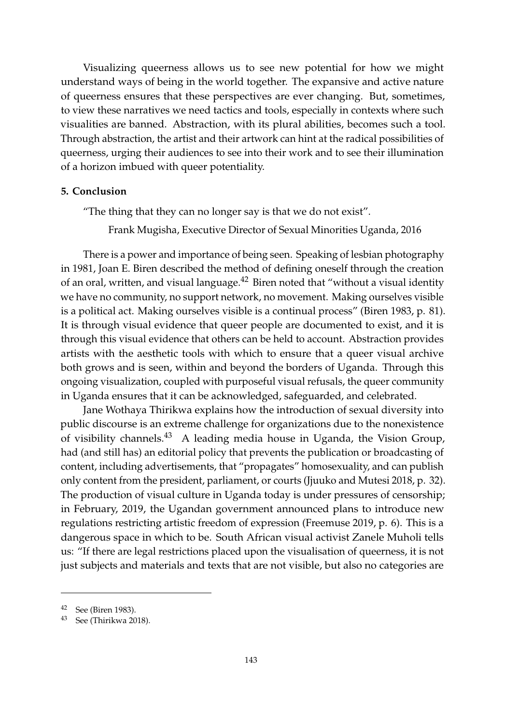Visualizing queerness allows us to see new potential for how we might understand ways of being in the world together. The expansive and active nature of queerness ensures that these perspectives are ever changing. But, sometimes, to view these narratives we need tactics and tools, especially in contexts where such visualities are banned. Abstraction, with its plural abilities, becomes such a tool. Through abstraction, the artist and their artwork can hint at the radical possibilities of queerness, urging their audiences to see into their work and to see their illumination of a horizon imbued with queer potentiality.

### **5. Conclusion**

"The thing that they can no longer say is that we do not exist".

Frank Mugisha, Executive Director of Sexual Minorities Uganda, 2016

There is a power and importance of being seen. Speaking of lesbian photography in 1981, Joan E. Biren described the method of defining oneself through the creation of an oral, written, and visual language. $42$  Biren noted that "without a visual identity we have no community, no support network, no movement. Making ourselves visible is a political act. Making ourselves visible is a continual process" [\(Biren](#page-17-5) [1983,](#page-17-5) p. 81). It is through visual evidence that queer people are documented to exist, and it is through this visual evidence that others can be held to account. Abstraction provides artists with the aesthetic tools with which to ensure that a queer visual archive both grows and is seen, within and beyond the borders of Uganda. Through this ongoing visualization, coupled with purposeful visual refusals, the queer community in Uganda ensures that it can be acknowledged, safeguarded, and celebrated.

Jane Wothaya Thirikwa explains how the introduction of sexual diversity into public discourse is an extreme challenge for organizations due to the nonexistence of visibility channels. $43$  A leading media house in Uganda, the Vision Group, had (and still has) an editorial policy that prevents the publication or broadcasting of content, including advertisements, that "propagates" homosexuality, and can publish only content from the president, parliament, or courts [\(Jjuuko and Mutesi](#page-19-3) [2018,](#page-19-3) p. 32). The production of visual culture in Uganda today is under pressures of censorship; in February, 2019, the Ugandan government announced plans to introduce new regulations restricting artistic freedom of expression [\(Freemuse](#page-18-15) [2019,](#page-18-15) p. 6). This is a dangerous space in which to be. South African visual activist Zanele Muholi tells us: "If there are legal restrictions placed upon the visualisation of queerness, it is not just subjects and materials and texts that are not visible, but also no categories are

<sup>42</sup> See [\(Biren](#page-17-5) [1983\)](#page-17-5).

<sup>43</sup> See [\(Thirikwa](#page-21-2) [2018\)](#page-21-2).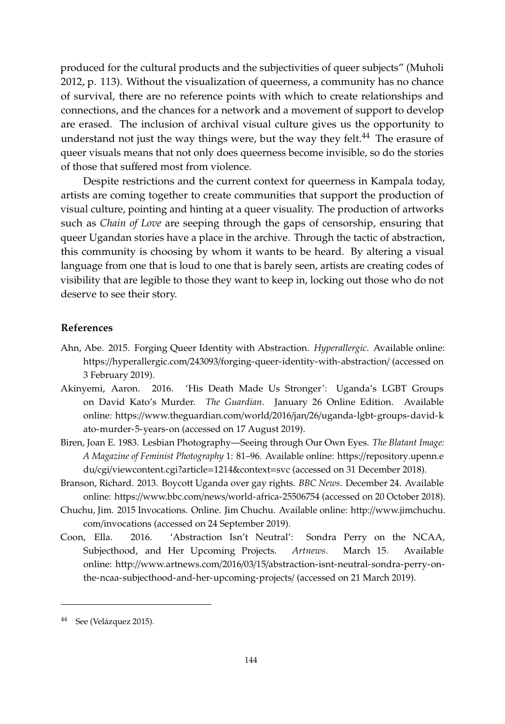produced for the cultural products and the subjectivities of queer subjects" [\(Muholi](#page-20-15) [2012,](#page-20-15) p. 113). Without the visualization of queerness, a community has no chance of survival, there are no reference points with which to create relationships and connections, and the chances for a network and a movement of support to develop are erased. The inclusion of archival visual culture gives us the opportunity to understand not just the way things were, but the way they felt.<sup>44</sup> The erasure of queer visuals means that not only does queerness become invisible, so do the stories of those that suffered most from violence.

Despite restrictions and the current context for queerness in Kampala today, artists are coming together to create communities that support the production of visual culture, pointing and hinting at a queer visuality. The production of artworks such as *Chain of Love* are seeping through the gaps of censorship, ensuring that queer Ugandan stories have a place in the archive. Through the tactic of abstraction, this community is choosing by whom it wants to be heard. By altering a visual language from one that is loud to one that is barely seen, artists are creating codes of visibility that are legible to those they want to keep in, locking out those who do not deserve to see their story.

### **References**

- <span id="page-17-3"></span>Ahn, Abe. 2015. Forging Queer Identity with Abstraction. *Hyperallergic*. Available online: https://hyperallergic.com/243093/[forging-queer-identity-with-abstraction](https://hyperallergic.com/243093/forging-queer-identity-with-abstraction/)/ (accessed on 3 February 2019).
- <span id="page-17-0"></span>Akinyemi, Aaron. 2016. 'His Death Made Us Stronger': Uganda's LGBT Groups on David Kato's Murder. *The Guardian*. January 26 Online Edition. Available online: https://www.theguardian.com/world/2016/jan/26/[uganda-lgbt-groups-david-k](https://www.theguardian.com/world/2016/jan/26/uganda-lgbt-groups-david-kato-murder-5-years-on) [ato-murder-5-years-on](https://www.theguardian.com/world/2016/jan/26/uganda-lgbt-groups-david-kato-murder-5-years-on) (accessed on 17 August 2019).
- <span id="page-17-5"></span>Biren, Joan E. 1983. Lesbian Photography—Seeing through Our Own Eyes. *The Blatant Image: A Magazine of Feminist Photography* 1: 81–96. Available online: https://[repository.upenn.e](https://repository.upenn.edu/cgi/viewcontent.cgi?article=1214&context=svc) du/cgi/[viewcontent.cgi?article](https://repository.upenn.edu/cgi/viewcontent.cgi?article=1214&context=svc)=1214&context=svc (accessed on 31 December 2018).
- <span id="page-17-1"></span>Branson, Richard. 2013. Boycott Uganda over gay rights. *BBC News*. December 24. Available online: https://www.bbc.com/news/[world-africa-25506754](https://www.bbc.com/news/world-africa-25506754) (accessed on 20 October 2018).
- <span id="page-17-4"></span>Chuchu, Jim. 2015 Invocations. Online. Jim Chuchu. Available online: http://[www.jimchuchu.](http://www.jimchuchu.com/invocations) com/[invocations](http://www.jimchuchu.com/invocations) (accessed on 24 September 2019).
- <span id="page-17-2"></span>Coon, Ella. 2016. 'Abstraction Isn't Neutral': Sondra Perry on the NCAA, Subjecthood, and Her Upcoming Projects. *Artnews*. March 15. Available online: http://www.artnews.com/2016/03/15/[abstraction-isnt-neutral-sondra-perry-on](http://www.artnews.com/2016/03/15/abstraction-isnt-neutral-sondra-perry-on-the-ncaa-subjecthood-and-her-upcoming-projects/)[the-ncaa-subjecthood-and-her-upcoming-projects](http://www.artnews.com/2016/03/15/abstraction-isnt-neutral-sondra-perry-on-the-ncaa-subjecthood-and-her-upcoming-projects/)/ (accessed on 21 March 2019).

<sup>44</sup> See (Velá[zquez](#page-21-9) [2015\)](#page-21-9).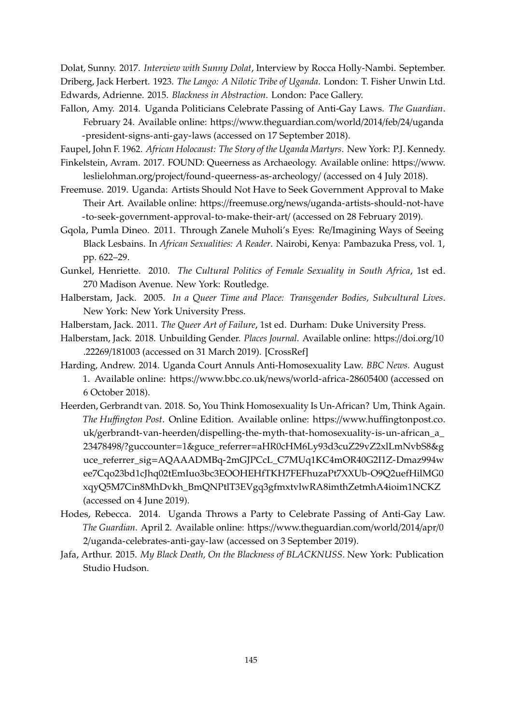<span id="page-18-13"></span><span id="page-18-10"></span>Dolat, Sunny. 2017. *Interview with Sunny Dolat*, Interview by Rocca Holly-Nambi. September. Driberg, Jack Herbert. 1923. *The Lango: A Nilotic Tribe of Uganda*. London: T. Fisher Unwin Ltd. Edwards, Adrienne. 2015. *Blackness in Abstraction*. London: Pace Gallery.

<span id="page-18-4"></span><span id="page-18-0"></span>Fallon, Amy. 2014. Uganda Politicians Celebrate Passing of Anti-Gay Laws. *The Guardian*. February 24. Available online: https://[www.theguardian.com](https://www.theguardian.com/world/2014/feb/24/uganda-president-signs-anti-gay-laws)/world/2014/feb/24/uganda [-president-signs-anti-gay-laws](https://www.theguardian.com/world/2014/feb/24/uganda-president-signs-anti-gay-laws) (accessed on 17 September 2018).

<span id="page-18-14"></span><span id="page-18-11"></span>Faupel, John F. 1962. *African Holocaust: The Story of the Uganda Martyrs*. New York: P.J. Kennedy. Finkelstein, Avram. 2017. FOUND: Queerness as Archaeology. Available online: https://[www.](https://www.leslielohman.org/project/found-queerness-as-archeology/)

- leslielohman.org/project/[found-queerness-as-archeology](https://www.leslielohman.org/project/found-queerness-as-archeology/)/ (accessed on 4 July 2018).
- <span id="page-18-15"></span>Freemuse. 2019. Uganda: Artists Should Not Have to Seek Government Approval to Make Their Art. Available online: https://freemuse.org/news/[uganda-artists-should-not-have](https://freemuse.org/news/uganda-artists-should-not-have-to-seek-government-approval-to-make-their-art/) [-to-seek-government-approval-to-make-their-art](https://freemuse.org/news/uganda-artists-should-not-have-to-seek-government-approval-to-make-their-art/)/ (accessed on 28 February 2019).
- <span id="page-18-7"></span>Gqola, Pumla Dineo. 2011. Through Zanele Muholi's Eyes: Re/Imagining Ways of Seeing Black Lesbains. In *African Sexualities: A Reader*. Nairobi, Kenya: Pambazuka Press, vol. 1, pp. 622–29.
- <span id="page-18-12"></span>Gunkel, Henriette. 2010. *The Cultural Politics of Female Sexuality in South Africa*, 1st ed. 270 Madison Avenue. New York: Routledge.
- <span id="page-18-8"></span>Halberstam, Jack. 2005. *In a Queer Time and Place: Transgender Bodies, Subcultural Lives*. New York: New York University Press.
- <span id="page-18-6"></span>Halberstam, Jack. 2011. *The Queer Art of Failure*, 1st ed. Durham: Duke University Press.
- <span id="page-18-5"></span>Halberstam, Jack. 2018. Unbuilding Gender. *Places Journal*. Available online: https://[doi.org](https://doi.org/10.22269/181003)/10 .22269/[181003](https://doi.org/10.22269/181003) (accessed on 31 March 2019). [\[CrossRef\]](http://dx.doi.org/10.22269/181003)
- <span id="page-18-2"></span>Harding, Andrew. 2014. Uganda Court Annuls Anti-Homosexuality Law. *BBC News*. August 1. Available online: https://www.bbc.co.uk/news/[world-africa-28605400](https://www.bbc.co.uk/news/world-africa-28605400) (accessed on 6 October 2018).
- <span id="page-18-9"></span>Heerden, Gerbrandt van. 2018. So, You Think Homosexuality Is Un-African? Um, Think Again. *The Hu*ffi*ngton Post*. Online Edition. Available online: https://www.huffi[ngtonpost.co.](https://www.huffingtonpost.co.uk/gerbrandt-van-heerden/dispelling-the-myth-that-homosexuality-is-un-african_a_23478498/?guccounter=1&guce_referrer=aHR0cHM6Ly93d3cuZ29vZ2xlLmNvbS8&guce_referrer_sig=AQAAADMBq-2mGJPCcL_C7MUq1KC4mOR40G2I1Z-Dmaz994wee7Cqo23bd1cJhq02tEmIuo3bc3EOOHEHfTKH7FEFhuzaPt7XXUb-O9Q2uefHilMG0xqyQ5M7Cin8MhDvkh_BmQNPtlT3EVgq3gfmxtvlwRA8imthZetmhA4ioim1NCKZ) uk/gerbrandt-van-heerden/[dispelling-the-myth-that-homosexuality-is-un-african\\_a\\_](https://www.huffingtonpost.co.uk/gerbrandt-van-heerden/dispelling-the-myth-that-homosexuality-is-un-african_a_23478498/?guccounter=1&guce_referrer=aHR0cHM6Ly93d3cuZ29vZ2xlLmNvbS8&guce_referrer_sig=AQAAADMBq-2mGJPCcL_C7MUq1KC4mOR40G2I1Z-Dmaz994wee7Cqo23bd1cJhq02tEmIuo3bc3EOOHEHfTKH7FEFhuzaPt7XXUb-O9Q2uefHilMG0xqyQ5M7Cin8MhDvkh_BmQNPtlT3EVgq3gfmxtvlwRA8imthZetmhA4ioim1NCKZ) 23478498/?guccounter=1&guce\_referrer=[aHR0cHM6Ly93d3cuZ29vZ2xlLmNvbS8&g](https://www.huffingtonpost.co.uk/gerbrandt-van-heerden/dispelling-the-myth-that-homosexuality-is-un-african_a_23478498/?guccounter=1&guce_referrer=aHR0cHM6Ly93d3cuZ29vZ2xlLmNvbS8&guce_referrer_sig=AQAAADMBq-2mGJPCcL_C7MUq1KC4mOR40G2I1Z-Dmaz994wee7Cqo23bd1cJhq02tEmIuo3bc3EOOHEHfTKH7FEFhuzaPt7XXUb-O9Q2uefHilMG0xqyQ5M7Cin8MhDvkh_BmQNPtlT3EVgq3gfmxtvlwRA8imthZetmhA4ioim1NCKZ) uce\_referrer\_sig=[AQAAADMBq-2mGJPCcL\\_C7MUq1KC4mOR40G2I1Z-Dmaz994w](https://www.huffingtonpost.co.uk/gerbrandt-van-heerden/dispelling-the-myth-that-homosexuality-is-un-african_a_23478498/?guccounter=1&guce_referrer=aHR0cHM6Ly93d3cuZ29vZ2xlLmNvbS8&guce_referrer_sig=AQAAADMBq-2mGJPCcL_C7MUq1KC4mOR40G2I1Z-Dmaz994wee7Cqo23bd1cJhq02tEmIuo3bc3EOOHEHfTKH7FEFhuzaPt7XXUb-O9Q2uefHilMG0xqyQ5M7Cin8MhDvkh_BmQNPtlT3EVgq3gfmxtvlwRA8imthZetmhA4ioim1NCKZ) [ee7Cqo23bd1cJhq02tEmIuo3bc3EOOHEHfTKH7FEFhuzaPt7XXUb-O9Q2uefHilMG0](https://www.huffingtonpost.co.uk/gerbrandt-van-heerden/dispelling-the-myth-that-homosexuality-is-un-african_a_23478498/?guccounter=1&guce_referrer=aHR0cHM6Ly93d3cuZ29vZ2xlLmNvbS8&guce_referrer_sig=AQAAADMBq-2mGJPCcL_C7MUq1KC4mOR40G2I1Z-Dmaz994wee7Cqo23bd1cJhq02tEmIuo3bc3EOOHEHfTKH7FEFhuzaPt7XXUb-O9Q2uefHilMG0xqyQ5M7Cin8MhDvkh_BmQNPtlT3EVgq3gfmxtvlwRA8imthZetmhA4ioim1NCKZ) [xqyQ5M7Cin8MhDvkh\\_BmQNPtlT3EVgq3gfmxtvlwRA8imthZetmhA4ioim1NCKZ](https://www.huffingtonpost.co.uk/gerbrandt-van-heerden/dispelling-the-myth-that-homosexuality-is-un-african_a_23478498/?guccounter=1&guce_referrer=aHR0cHM6Ly93d3cuZ29vZ2xlLmNvbS8&guce_referrer_sig=AQAAADMBq-2mGJPCcL_C7MUq1KC4mOR40G2I1Z-Dmaz994wee7Cqo23bd1cJhq02tEmIuo3bc3EOOHEHfTKH7FEFhuzaPt7XXUb-O9Q2uefHilMG0xqyQ5M7Cin8MhDvkh_BmQNPtlT3EVgq3gfmxtvlwRA8imthZetmhA4ioim1NCKZ) (accessed on 4 June 2019).
- <span id="page-18-1"></span>Hodes, Rebecca. 2014. Uganda Throws a Party to Celebrate Passing of Anti-Gay Law. *The Guardian*. April 2. Available online: https://[www.theguardian.com](https://www.theguardian.com/world/2014/apr/02/uganda-celebrates-anti-gay-law)/world/2014/apr/0 2/[uganda-celebrates-anti-gay-law](https://www.theguardian.com/world/2014/apr/02/uganda-celebrates-anti-gay-law) (accessed on 3 September 2019).
- <span id="page-18-3"></span>Jafa, Arthur. 2015. *My Black Death, On the Blackness of BLACKNUSS*. New York: Publication Studio Hudson.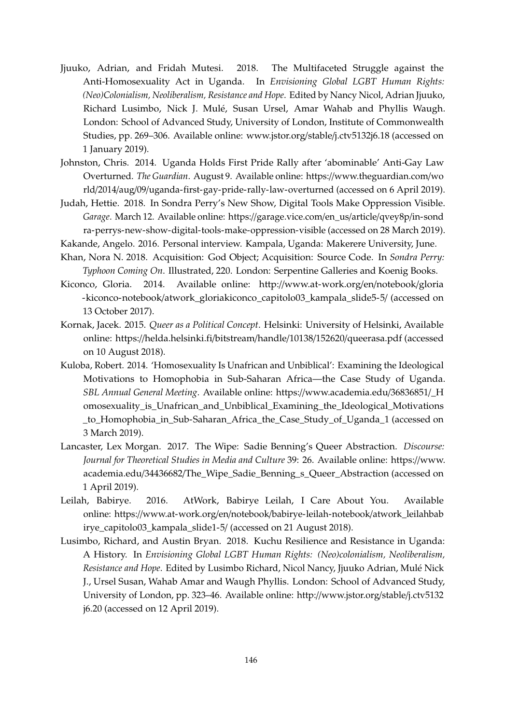- <span id="page-19-3"></span>Jjuuko, Adrian, and Fridah Mutesi. 2018. The Multifaceted Struggle against the Anti-Homosexuality Act in Uganda. In *Envisioning Global LGBT Human Rights: (Neo)Colonialism, Neoliberalism, Resistance and Hope*. Edited by Nancy Nicol, Adrian Jjuuko, Richard Lusimbo, Nick J. Mulé, Susan Ursel, Amar Wahab and Phyllis Waugh. London: School of Advanced Study, University of London, Institute of Commonwealth Studies, pp. 269–306. Available online: [www.jstor.org](www.jstor.org/stable/j.ctv5132j6.18)/stable/j.ctv5132j6.18 (accessed on 1 January 2019).
- <span id="page-19-0"></span>Johnston, Chris. 2014. Uganda Holds First Pride Rally after 'abominable' Anti-Gay Law Overturned. *The Guardian*. August 9. Available online: https://[www.theguardian.com](https://www.theguardian.com/world/2014/aug/09/uganda-first-gay-pride-rally-law-overturned)/wo rld/2014/aug/09/[uganda-first-gay-pride-rally-law-overturned](https://www.theguardian.com/world/2014/aug/09/uganda-first-gay-pride-rally-law-overturned) (accessed on 6 April 2019).
- <span id="page-19-5"></span>Judah, Hettie. 2018. In Sondra Perry's New Show, Digital Tools Make Oppression Visible. *Garage*. March 12. Available online: https://[garage.vice.com](https://garage.vice.com/en_us/article/qvey8p/in-sondra-perrys-new-show-digital-tools-make-oppression-visible)/en\_us/article/qvey8p/in-sond [ra-perrys-new-show-digital-tools-make-oppression-visible](https://garage.vice.com/en_us/article/qvey8p/in-sondra-perrys-new-show-digital-tools-make-oppression-visible) (accessed on 28 March 2019).
- <span id="page-19-4"></span><span id="page-19-1"></span>Kakande, Angelo. 2016. Personal interview. Kampala, Uganda: Makerere University, June.
- Khan, Nora N. 2018. Acquisition: God Object; Acquisition: Source Code. In *Sondra Perry: Typhoon Coming On*. Illustrated, 220. London: Serpentine Galleries and Koenig Books.
- <span id="page-19-6"></span>Kiconco, Gloria. 2014. Available online: http://[www.at-work.org](http://www.at-work.org/en/notebook/gloria-kiconco-notebook/atwork_gloriakiconco_capitolo03_kampala_slide5-5/)/en/notebook/gloria -kiconco-notebook/[atwork\\_gloriakiconco\\_capitolo03\\_kampala\\_slide5-5](http://www.at-work.org/en/notebook/gloria-kiconco-notebook/atwork_gloriakiconco_capitolo03_kampala_slide5-5/)/ (accessed on 13 October 2017).
- <span id="page-19-9"></span>Kornak, Jacek. 2015. *Queer as a Political Concept*. Helsinki: University of Helsinki, Available online: https://[helda.helsinki.fi](https://helda.helsinki.fi/bitstream/handle/10138/152620/queerasa.pdf)/bitstream/handle/10138/152620/queerasa.pdf (accessed on 10 August 2018).
- <span id="page-19-7"></span>Kuloba, Robert. 2014. 'Homosexuality Is Unafrican and Unbiblical': Examining the Ideological Motivations to Homophobia in Sub-Saharan Africa—the Case Study of Uganda. *SBL Annual General Meeting*. Available online: https://[www.academia.edu](https://www.academia.edu/36836851/_Homosexuality_is_Unafrican_and_Unbiblical_Examining_the_Ideological_Motivations_to_Homophobia_in_Sub-Saharan_Africa_the_Case_Study_of_Uganda_1)/36836851/\_H [omosexuality\\_is\\_Unafrican\\_and\\_Unbiblical\\_Examining\\_the\\_Ideological\\_Motivations](https://www.academia.edu/36836851/_Homosexuality_is_Unafrican_and_Unbiblical_Examining_the_Ideological_Motivations_to_Homophobia_in_Sub-Saharan_Africa_the_Case_Study_of_Uganda_1) [\\_to\\_Homophobia\\_in\\_Sub-Saharan\\_Africa\\_the\\_Case\\_Study\\_of\\_Uganda\\_1](https://www.academia.edu/36836851/_Homosexuality_is_Unafrican_and_Unbiblical_Examining_the_Ideological_Motivations_to_Homophobia_in_Sub-Saharan_Africa_the_Case_Study_of_Uganda_1) (accessed on 3 March 2019).
- <span id="page-19-10"></span>Lancaster, Lex Morgan. 2017. The Wipe: Sadie Benning's Queer Abstraction. *Discourse: Journal for Theoretical Studies in Media and Culture* 39: 26. Available online: https://[www.](https://www.academia.edu/34436682/The_Wipe_Sadie_Benning_s_Queer_Abstraction) academia.edu/34436682/[The\\_Wipe\\_Sadie\\_Benning\\_s\\_Queer\\_Abstraction](https://www.academia.edu/34436682/The_Wipe_Sadie_Benning_s_Queer_Abstraction) (accessed on 1 April 2019).
- <span id="page-19-2"></span>Leilah, Babirye. 2016. AtWork, Babirye Leilah, I Care About You. Available online: https://www.at-work.org/en/notebook/[babirye-leilah-notebook](https://www.at-work.org/en/notebook/babirye-leilah-notebook/atwork_leilahbabirye_capitolo03_kampala_slide1-5/)/atwork\_leilahbab [irye\\_capitolo03\\_kampala\\_slide1-5](https://www.at-work.org/en/notebook/babirye-leilah-notebook/atwork_leilahbabirye_capitolo03_kampala_slide1-5/)/ (accessed on 21 August 2018).
- <span id="page-19-8"></span>Lusimbo, Richard, and Austin Bryan. 2018. Kuchu Resilience and Resistance in Uganda: A History. In *Envisioning Global LGBT Human Rights: (Neo)colonialism, Neoliberalism, Resistance and Hope*. Edited by Lusimbo Richard, Nicol Nancy, Jjuuko Adrian, Mulé Nick J., Ursel Susan, Wahab Amar and Waugh Phyllis. London: School of Advanced Study, University of London, pp. 323–46. Available online: http://[www.jstor.org](http://www.jstor.org/stable/j.ctv5132j6.20)/stable/j.ctv5132 [j6.20](http://www.jstor.org/stable/j.ctv5132j6.20) (accessed on 12 April 2019).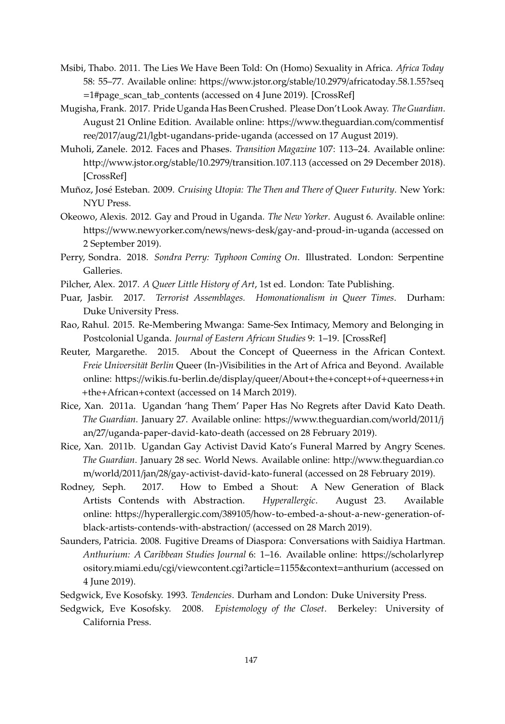- <span id="page-20-12"></span>Msibi, Thabo. 2011. The Lies We Have Been Told: On (Homo) Sexuality in Africa. *Africa Today* 58: 55–77. Available online: https://www.jstor.org/stable/10.2979/[africatoday.58.1.55?seq](https://www.jstor.org/stable/10.2979/africatoday.58.1.55?seq=1#page_scan_tab_contents) =[1#page\\_scan\\_tab\\_contents](https://www.jstor.org/stable/10.2979/africatoday.58.1.55?seq=1#page_scan_tab_contents) (accessed on 4 June 2019). [\[CrossRef\]](http://dx.doi.org/10.2979/africatoday.58.1.55)
- <span id="page-20-0"></span>Mugisha, Frank. 2017. Pride Uganda Has Been Crushed. Please Don't Look Away. *The Guardian*. August 21 Online Edition. Available online: https://[www.theguardian.com](https://www.theguardian.com/commentisfree/2017/aug/21/lgbt-ugandans-pride-uganda)/commentisf ree/2017/aug/21/[lgbt-ugandans-pride-uganda](https://www.theguardian.com/commentisfree/2017/aug/21/lgbt-ugandans-pride-uganda) (accessed on 17 August 2019).
- <span id="page-20-15"></span>Muholi, Zanele. 2012. Faces and Phases. *Transition Magazine* 107: 113–24. Available online: http://www.jstor.org/stable/10.2979/[transition.107.113](http://www.jstor.org/stable/10.2979/transition.107.113) (accessed on 29 December 2018). [\[CrossRef\]](http://dx.doi.org/10.2979/transition.107.113)
- <span id="page-20-14"></span>Muñoz, José Esteban. 2009. *Cruising Utopia: The Then and There of Queer Futurity*. New York: NYU Press.
- <span id="page-20-1"></span>Okeowo, Alexis. 2012. Gay and Proud in Uganda. *The New Yorker*. August 6. Available online: https://www.newyorker.com/news/news-desk/[gay-and-proud-in-uganda](https://www.newyorker.com/news/news-desk/gay-and-proud-in-uganda) (accessed on 2 September 2019).
- <span id="page-20-4"></span>Perry, Sondra. 2018. *Sondra Perry: Typhoon Coming On*. Illustrated. London: Serpentine Galleries.
- <span id="page-20-13"></span>Pilcher, Alex. 2017. *A Queer Little History of Art*, 1st ed. London: Tate Publishing.
- <span id="page-20-11"></span>Puar, Jasbir. 2017. *Terrorist Assemblages. Homonationalism in Queer Times*. Durham: Duke University Press.
- <span id="page-20-9"></span>Rao, Rahul. 2015. Re-Membering Mwanga: Same-Sex Intimacy, Memory and Belonging in Postcolonial Uganda. *Journal of Eastern African Studies* 9: 1–19. [\[CrossRef\]](http://dx.doi.org/10.1080/17531055.2014.970600)
- <span id="page-20-5"></span>Reuter, Margarethe. 2015. About the Concept of Queerness in the African Context. *Freie Universität Berlin* Queer (In-)Visibilities in the Art of Africa and Beyond. Available online: https://[wikis.fu-berlin.de](https://wikis.fu-berlin.de/display/queer/About+the+concept+of+queerness+in+the+African+context)/display/queer/About+the+concept+of+queerness+in +the+[African](https://wikis.fu-berlin.de/display/queer/About+the+concept+of+queerness+in+the+African+context)+context (accessed on 14 March 2019).
- <span id="page-20-6"></span>Rice, Xan. 2011a. Ugandan 'hang Them' Paper Has No Regrets after David Kato Death. *The Guardian*. January 27. Available online: https://[www.theguardian.com](https://www.theguardian.com/world/2011/jan/27/uganda-paper-david-kato-death)/world/2011/j an/27/[uganda-paper-david-kato-death](https://www.theguardian.com/world/2011/jan/27/uganda-paper-david-kato-death) (accessed on 28 February 2019).
- <span id="page-20-7"></span>Rice, Xan. 2011b. Ugandan Gay Activist David Kato's Funeral Marred by Angry Scenes. *The Guardian*. January 28 sec. World News. Available online: http://[www.theguardian.co](http://www.theguardian.com/world/2011/jan/28/gay-activist-david-kato-funeral) m/world/2011/jan/28/[gay-activist-david-kato-funeral](http://www.theguardian.com/world/2011/jan/28/gay-activist-david-kato-funeral) (accessed on 28 February 2019).
- <span id="page-20-2"></span>Rodney, Seph. 2017. How to Embed a Shout: A New Generation of Black Artists Contends with Abstraction. *Hyperallergic*. August 23. Available online: https://hyperallergic.com/389105/[how-to-embed-a-shout-a-new-generation-of](https://hyperallergic.com/389105/how-to-embed-a-shout-a-new-generation-of-black-artists-contends-with-abstraction/)[black-artists-contends-with-abstraction](https://hyperallergic.com/389105/how-to-embed-a-shout-a-new-generation-of-black-artists-contends-with-abstraction/)/ (accessed on 28 March 2019).
- <span id="page-20-3"></span>Saunders, Patricia. 2008. Fugitive Dreams of Diaspora: Conversations with Saidiya Hartman. *Anthurium: A Caribbean Studies Journal* 6: 1–16. Available online: https://[scholarlyrep](https://scholarlyrepository.miami.edu/cgi/viewcontent.cgi?article=1155&context=anthurium) ository.miami.edu/cgi/[viewcontent.cgi?article](https://scholarlyrepository.miami.edu/cgi/viewcontent.cgi?article=1155&context=anthurium)=1155&context=anthurium (accessed on 4 June 2019).
- <span id="page-20-10"></span>Sedgwick, Eve Kosofsky. 1993. *Tendencies*. Durham and London: Duke University Press.
- <span id="page-20-8"></span>Sedgwick, Eve Kosofsky. 2008. *Epistemology of the Closet*. Berkeley: University of California Press.